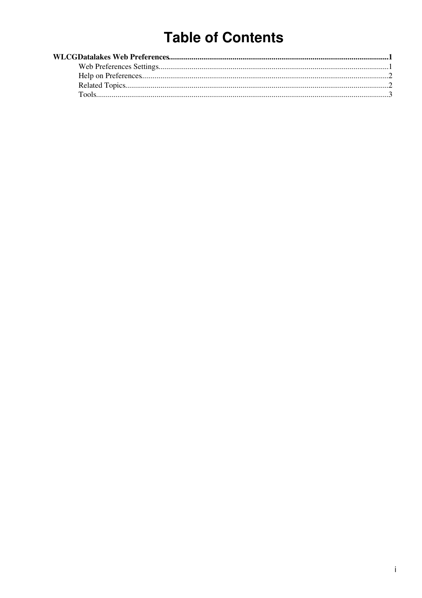# **Table of Contents**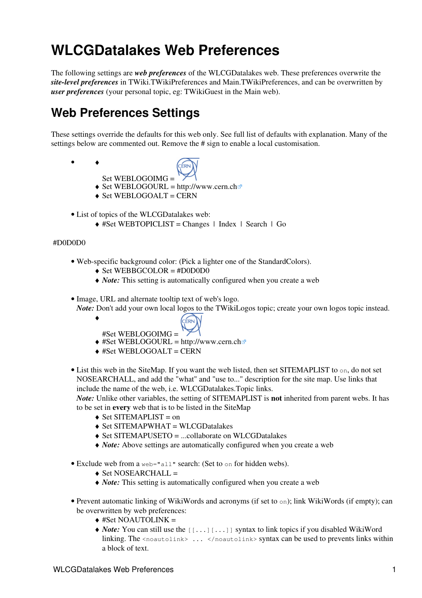# <span id="page-1-0"></span>**WLCGDatalakes Web Preferences**

The following settings are *web preferences* of the [WLCGDatalakes](https://twiki.cern.ch/twiki/bin/view/WLCGDatalakes/WebHome) web. These preferences overwrite the *site-level preferences* in [TWiki.TWikiPreferences](https://twiki.cern.ch/twiki/bin/view/TWiki/TWikiPreferences) and [Main.TWikiPreferences,](https://twiki.cern.ch/twiki/bin/view/Main/TWikiPreferences) and can be overwritten by *user preferences* (your personal topic, eg: [TWikiGuest](https://twiki.cern.ch/twiki/bin/view/Main/TWikiGuest) in the [Main](https://twiki.cern.ch/twiki/bin/view/Main/WebHome) web).

## <span id="page-1-1"></span>**Web Preferences Settings**

These settings override the defaults for this web only. See [full list of defaults with explanation.](https://twiki.cern.ch/twiki/bin/view/TWiki/TWikiPreferences#DefaultWebPreferences) Many of the settings below are commented out. Remove the # sign to enable a local customisation.

♦ •

- 
- Set WEBLOGOIMG =  $\triangle$  Set WEBLOGOURL = <http://www.cern.ch>
- ♦ Set WEBLOGOALT = CERN
- List of topics of the WLCGDatalakes web:
	- ♦ #Set WEBTOPICLIST = [Changes](https://twiki.cern.ch/twiki/bin/view/WLCGDatalakes/WebChanges) | [Index](https://twiki.cern.ch/twiki/bin/view/WLCGDatalakes/WebIndex) | [Search](https://twiki.cern.ch/twiki/bin/view/WLCGDatalakes/WebSearch) | Go

#### #D0D0D0

♦

- Web-specific background color: (Pick a lighter one of the [StandardColors\)](https://twiki.cern.ch/twiki/bin/view/TWiki/StandardColors).
	- $\triangle$  Set WEBBGCOLOR = #D0D0D0
	- ♦ *Note:* This setting is automatically configured when you create a web
- Image, URL and alternate tooltip text of web's logo.
	- *Note:* Don't add your own local logos to the [TWikiLogos](https://twiki.cern.ch/twiki/bin/view/TWiki/TWikiLogos) topic; create your own logos topic instead.
		- CERN #Set WEBLOGOIMG =
		- $\triangleq$  #Set WEBLOGOURL =<http://www.cern.ch>
		- $\triangle$  #Set WEBLOGOALT = CERN
- List this web in the [SiteMap](https://twiki.cern.ch/twiki/bin/view/TWiki/SiteMap). If you want the web listed, then set SITEMAPLIST to on, do not set NOSEARCHALL, and add the "what" and "use to..." description for the site map. Use links that include the name of the web, i.e. WLCGDatalakes.Topic links.

*Note:* Unlike other variables, the setting of SITEMAPLIST is **not** inherited from parent webs. It has to be set in **every** web that is to be listed in the [SiteMap](https://twiki.cern.ch/twiki/bin/view/TWiki/SiteMap)

- $\triangle$  Set SITEMAPLIST = on
- $\triangle$  Set SITEMAPWHAT = WLCGDatalakes
- ♦ Set SITEMAPUSETO = ...collaborate on WLCGDatalakes
- ♦ *Note:* Above settings are automatically configured when you create a web
- Exclude web from a web="all" search: (Set to on for hidden webs).
	- $\triangle$  Set NOSEARCHALL =
	- ♦ *Note:* This setting is automatically configured when you create a web
- Prevent automatic linking of [WikiWords](https://twiki.cern.ch/twiki/bin/view/TWiki/WikiWord) and acronyms (if set to on); link WikiWords (if empty); can be overwritten by web preferences:
	- $\triangle$  #Set NOAUTOLINK =
	- ◆ *Note*: You can still use the [[...][...]] syntax to link topics if you disabled WikiWord linking. The <noautolink> ... </noautolink> syntax can be used to prevents links within a block of text.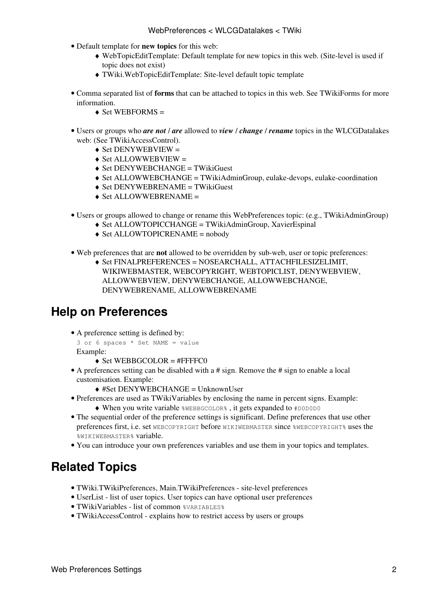- Default template for **new topics** for this web:
	- [WebTopicEditTemplate](https://twiki.cern.ch/twiki/bin/edit/WLCGDatalakes/WebTopicEditTemplate?topicparent=WLCGDatalakes.WebPreferences;nowysiwyg=1): Default template for new topics in this web. (Site-level is used if ♦ topic does not exist)
	- ♦ [TWiki.WebTopicEditTemplate:](https://twiki.cern.ch/twiki/bin/view/TWiki/WebTopicEditTemplate) Site-level default topic template
- Comma separated list of **forms** that can be attached to topics in this web. See [TWikiForms](https://twiki.cern.ch/twiki/bin/view/TWiki/TWikiForms) for more information.
	- $\triangle$  Set WEBFORMS =
- Users or groups who *are not* / *are* allowed to *view* / *change* / *rename* topics in the WLCGDatalakes web: (See [TWikiAccessControl\)](https://twiki.cern.ch/twiki/bin/view/TWiki/TWikiAccessControl).
	- $\triangle$  Set DENYWEBVIEW =
	- $\triangle$  Set ALLOWWEBVIEW =
	- $\triangle$  Set DENYWEBCHANGE = [TWikiGuest](https://twiki.cern.ch/twiki/bin/view/Main/TWikiGuest)
	- ♦ Set ALLOWWEBCHANGE = [TWikiAdminGroup,](https://twiki.cern.ch/twiki/bin/view/Main/TWikiAdminGroup) eulake-devops, eulake-coordination
	- ♦ Set DENYWEBRENAME = [TWikiGuest](https://twiki.cern.ch/twiki/bin/view/Main/TWikiGuest)
	- ♦ Set ALLOWWEBRENAME =
- Users or groups allowed to change or rename this WebPreferences topic: (e.g., [TWikiAdminGroup\)](https://twiki.cern.ch/twiki/bin/view/Main/TWikiAdminGroup)
	- ♦ Set ALLOWTOPICCHANGE = [TWikiAdminGroup](https://twiki.cern.ch/twiki/bin/view/Main/TWikiAdminGroup), [XavierEspinal](https://twiki.cern.ch/twiki/bin/edit/WLCGDatalakes/XavierEspinal?topicparent=WLCGDatalakes.WebPreferences;nowysiwyg=1)
	- ♦ Set ALLOWTOPICRENAME = nobody
- Web preferences that are **not** allowed to be overridden by sub-web, user or topic preferences:
	- Set FINALPREFERENCES = NOSEARCHALL, ATTACHFILESIZELIMIT, ♦ WIKIWEBMASTER, WEBCOPYRIGHT, WEBTOPICLIST, DENYWEBVIEW, ALLOWWEBVIEW, DENYWEBCHANGE, ALLOWWEBCHANGE, DENYWEBRENAME, ALLOWWEBRENAME

### <span id="page-2-0"></span>**Help on Preferences**

- A preference setting is defined by:
	- 3 or 6 spaces \* Set NAME = value Example:
		- $\triangle$  Set WEBBGCOLOR = #FFFFC0
- A preferences setting can be disabled with a # sign. Remove the # sign to enable a local customisation. Example:
	- ♦ #Set DENYWEBCHANGE = [UnknownUser](https://twiki.cern.ch/twiki/bin/view/Main/UnknownUser)
- Preferences are used as [TWikiVariables](https://twiki.cern.ch/twiki/bin/view/TWiki/TWikiVariables) by enclosing the name in percent signs. Example: ♦ When you write variable %WEBBGCOLOR% , it gets expanded to #D0D0D0
- The sequential order of the preference settings is significant. Define preferences that use other preferences first, i.e. set WEBCOPYRIGHT before WIKIWEBMASTER since %WEBCOPYRIGHT% uses the %WIKIWEBMASTER% variable.
- You can introduce your own preferences variables and use them in your topics and templates.

### <span id="page-2-1"></span>**Related Topics**

- [TWiki.TWikiPreferences,](https://twiki.cern.ch/twiki/bin/view/TWiki/TWikiPreferences) [Main.TWikiPreferences](https://twiki.cern.ch/twiki/bin/view/Main/TWikiPreferences)  site-level preferences
- [UserList](https://twiki.cern.ch/twiki/bin/view/Main/UserList)  list of user topics. User topics can have optional user preferences
- [TWikiVariables](https://twiki.cern.ch/twiki/bin/view/TWiki/TWikiVariables)  list of common %VARIABLES%
- [TWikiAccessControl](https://twiki.cern.ch/twiki/bin/view/TWiki/TWikiAccessControl)  explains how to restrict access by users or groups